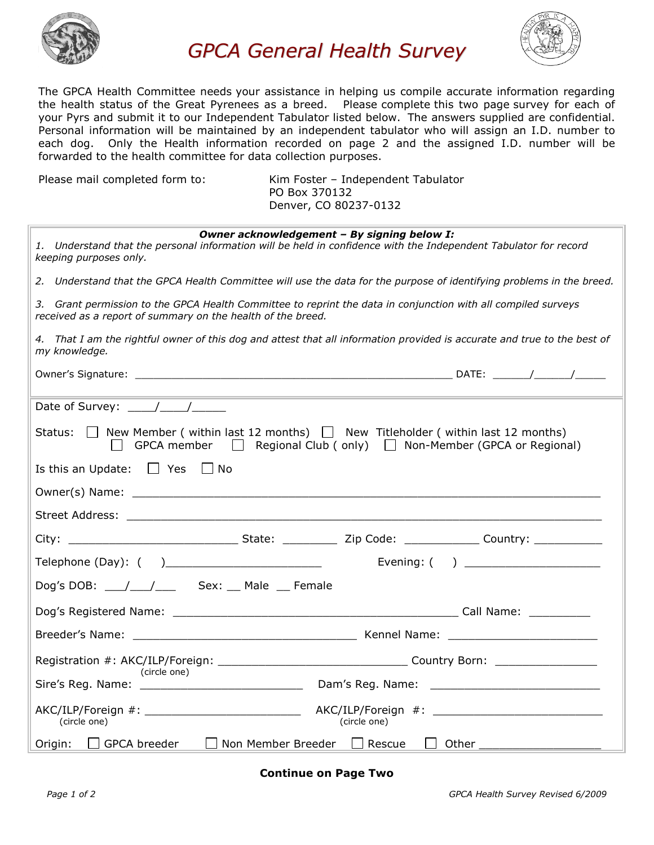

*GPCA General Health Survey*



The GPCA Health Committee needs your assistance in helping us compile accurate information regarding the health status of the Great Pyrenees as a breed. Please complete this two page survey for each of your Pyrs and submit it to our Independent Tabulator listed below. The answers supplied are confidential. Personal information will be maintained by an independent tabulator who will assign an I.D. number to each dog. Only the Health information recorded on page 2 and the assigned I.D. number will be forwarded to the health committee for data collection purposes.

Please mail completed form to: Kim Foster - Independent Tabulator PO Box 370132 Denver, CO 80237-0132

| Owner acknowledgement - By signing below I:<br>1. Understand that the personal information will be held in confidence with the Independent Tabulator for record<br>keeping purposes only. |
|-------------------------------------------------------------------------------------------------------------------------------------------------------------------------------------------|
| 2. Understand that the GPCA Health Committee will use the data for the purpose of identifying problems in the breed.                                                                      |
| 3. Grant permission to the GPCA Health Committee to reprint the data in conjunction with all compiled surveys<br>received as a report of summary on the health of the breed.              |
| 4. That I am the rightful owner of this dog and attest that all information provided is accurate and true to the best of<br>my knowledge.                                                 |
|                                                                                                                                                                                           |
| Date of Survey: $\frac{1}{\frac{1}{2}}$                                                                                                                                                   |
| Status: $\Box$ New Member (within last 12 months) $\Box$ New Titleholder (within last 12 months)<br>□ GPCA member □ Regional Club ( only) □ Non-Member (GPCA or Regional)                 |
| Is this an Update: $\Box$ Yes $\Box$ No                                                                                                                                                   |
|                                                                                                                                                                                           |
|                                                                                                                                                                                           |
|                                                                                                                                                                                           |
| Evening: $( )$                                                                                                                                                                            |
|                                                                                                                                                                                           |
|                                                                                                                                                                                           |
|                                                                                                                                                                                           |
|                                                                                                                                                                                           |
| (circle one)                                                                                                                                                                              |
| (circle one)<br>(circle one)                                                                                                                                                              |
| □ Non Member Breeder □ Rescue<br>□ GPCA breeder<br>D Other _____________________<br>Origin:                                                                                               |

**Continue on Page Two**